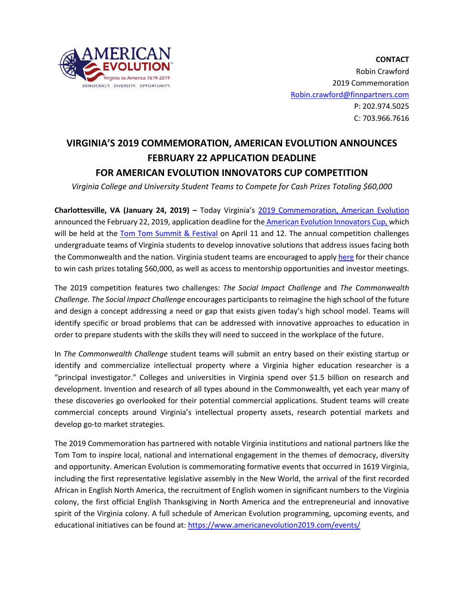

**CONTACT** Robin Crawford 2019 Commemoration [Robin.crawford@finnpartners.com](mailto:Robin.crawford@finnpartners.com) P: 202.974.5025 C: 703.966.7616

## **VIRGINIA'S 2019 COMMEMORATION, AMERICAN EVOLUTION ANNOUNCES FEBRUARY 22 APPLICATION DEADLINE FOR AMERICAN EVOLUTION INNOVATORS CUP COMPETITION**

*Virginia College and University Student Teams to Compete for Cash Prizes Totaling \$60,000*

**Charlottesville, VA (January 24, 2019) –** Today Virginia's [2019 Commemoration, American Evolution](https://www.americanevolution2019.com/)  announced the February 22, 2019, application deadline for the [American Evolution Innovators Cup,](https://tomtomfest.com/innovators-cup/) which will be held at the Tom Tom Summit & Festival on April 11 and 12. The annual competition challenges undergraduate teams of Virginia students to develop innovative solutions that address issues facing both the Commonwealth and the nation. Virginia student teams are encouraged to appl[y here](https://tomtomfest.com/innovators-cup-application) for their chance to win cash prizes totaling \$60,000, as well as access to mentorship opportunities and investor meetings.

The 2019 competition features two challenges: *The Social Impact Challenge* and *The Commonwealth Challenge. The Social Impact Challenge* encourages participants to reimagine the high school of the future and design a concept addressing a need or gap that exists given today's high school model. Teams will identify specific or broad problems that can be addressed with innovative approaches to education in order to prepare students with the skills they will need to succeed in the workplace of the future.

In *The Commonwealth Challenge* student teams will submit an entry based on their existing startup or identify and commercialize intellectual property where a Virginia higher education researcher is a "principal investigator." Colleges and universities in Virginia spend over \$1.5 billion on research and development. Invention and research of all types abound in the Commonwealth, yet each year many of these discoveries go overlooked for their potential commercial applications. Student teams will create commercial concepts around Virginia's intellectual property assets, research potential markets and develop go-to market strategies.

The 2019 Commemoration has partnered with notable Virginia institutions and national partners like the Tom Tom to inspire local, national and international engagement in the themes of democracy, diversity and opportunity. American Evolution is commemorating formative events that occurred in 1619 Virginia, including the first representative legislative assembly in the New World, the arrival of the first recorded African in English North America, the recruitment of English women in significant numbers to the Virginia colony, the first official English Thanksgiving in North America and the entrepreneurial and innovative spirit of the Virginia colony. A full schedule of American Evolution programming, upcoming events, and educational initiatives can be found at:<https://www.americanevolution2019.com/events/>